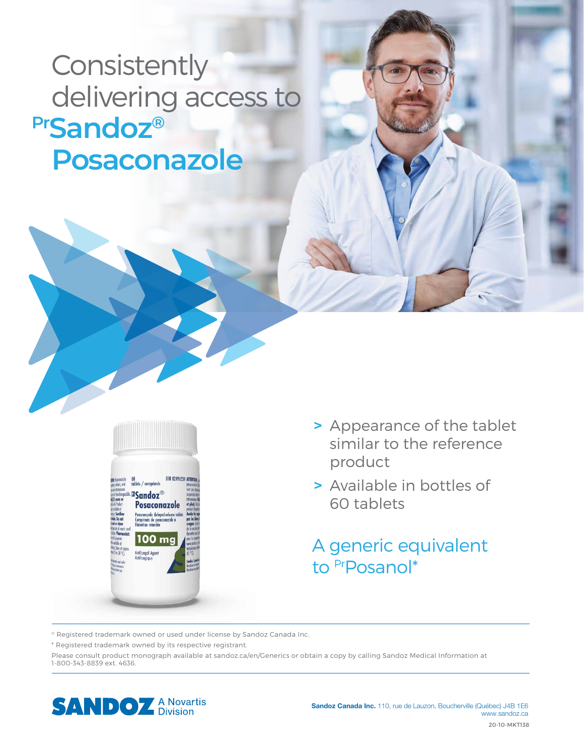**Consistently**  delivering access to **PrSandoz® Posaconazole**



- **>** Appearance of the tablet similar to the reference product
- **>** Available in bottles of 60 tablets

A generic equivalent to Pr<sub>Posanol</sub>\*

® Registered trademark owned or used under license by Sandoz Canada Inc.

\* Registered trademark owned by its respective registrant.

Please consult product monograph available at sandoz.ca/en/Generics or obtain a copy by calling Sandoz Medical Information at 1-800-343-8839 ext. 4636.